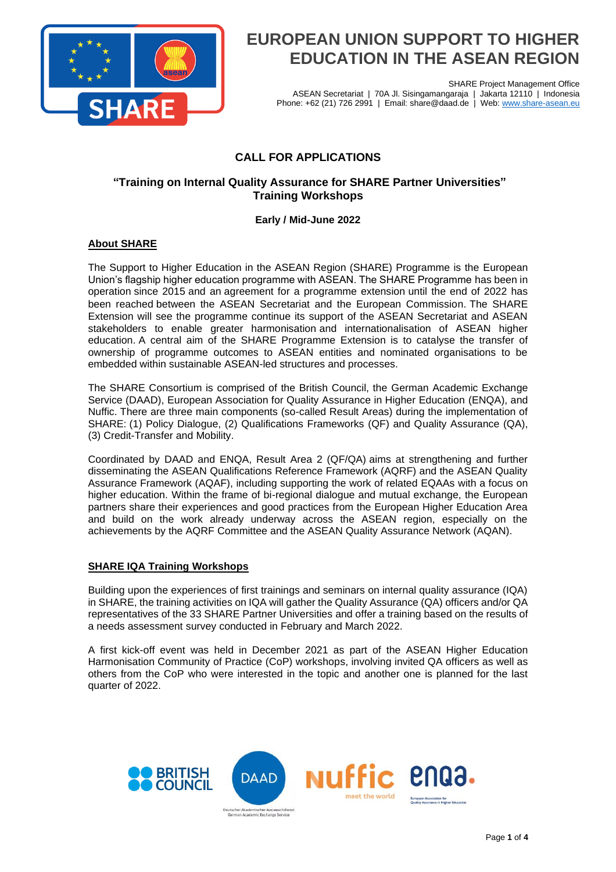

SHARE Project Management Office ASEAN Secretariat | 70A Jl. Sisingamangaraja | Jakarta 12110 | Indonesia Phone: +62 (21) 726 2991 | Email: share@daad.de | Web: [www.share-asean.eu](http://www.share-asean.eu/)

## **CALL FOR APPLICATIONS**

## **"Training on Internal Quality Assurance for SHARE Partner Universities" Training Workshops**

## **Early / Mid-June 2022**

## **About SHARE**

The Support to Higher Education in the ASEAN Region (SHARE) Programme is the European Union's flagship higher education programme with ASEAN. The SHARE Programme has been in operation since 2015 and an agreement for a programme extension until the end of 2022 has been reached between the ASEAN Secretariat and the European Commission. The SHARE Extension will see the programme continue its support of the ASEAN Secretariat and ASEAN stakeholders to enable greater harmonisation and internationalisation of ASEAN higher education. A central aim of the SHARE Programme Extension is to catalyse the transfer of ownership of programme outcomes to ASEAN entities and nominated organisations to be embedded within sustainable ASEAN-led structures and processes.

The SHARE Consortium is comprised of the British Council, the German Academic Exchange Service (DAAD), European Association for Quality Assurance in Higher Education (ENQA), and Nuffic. There are three main components (so-called Result Areas) during the implementation of SHARE: (1) Policy Dialogue, (2) Qualifications Frameworks (QF) and Quality Assurance (QA), (3) Credit-Transfer and Mobility.

Coordinated by DAAD and ENQA, Result Area 2 (QF/QA) aims at strengthening and further disseminating the ASEAN Qualifications Reference Framework (AQRF) and the ASEAN Quality Assurance Framework (AQAF), including supporting the work of related EQAAs with a focus on higher education. Within the frame of bi-regional dialogue and mutual exchange, the European partners share their experiences and good practices from the European Higher Education Area and build on the work already underway across the ASEAN region, especially on the achievements by the AQRF Committee and the ASEAN Quality Assurance Network (AQAN).

## **SHARE IQA Training Workshops**

Building upon the experiences of first trainings and seminars on internal quality assurance (IQA) in SHARE, the training activities on IQA will gather the Quality Assurance (QA) officers and/or QA representatives of the 33 SHARE Partner Universities and offer a training based on the results of a needs assessment survey conducted in February and March 2022.

A first kick-off event was held in December 2021 as part of the ASEAN Higher Education Harmonisation Community of Practice (CoP) workshops, involving invited QA officers as well as others from the CoP who were interested in the topic and another one is planned for the last quarter of 2022.

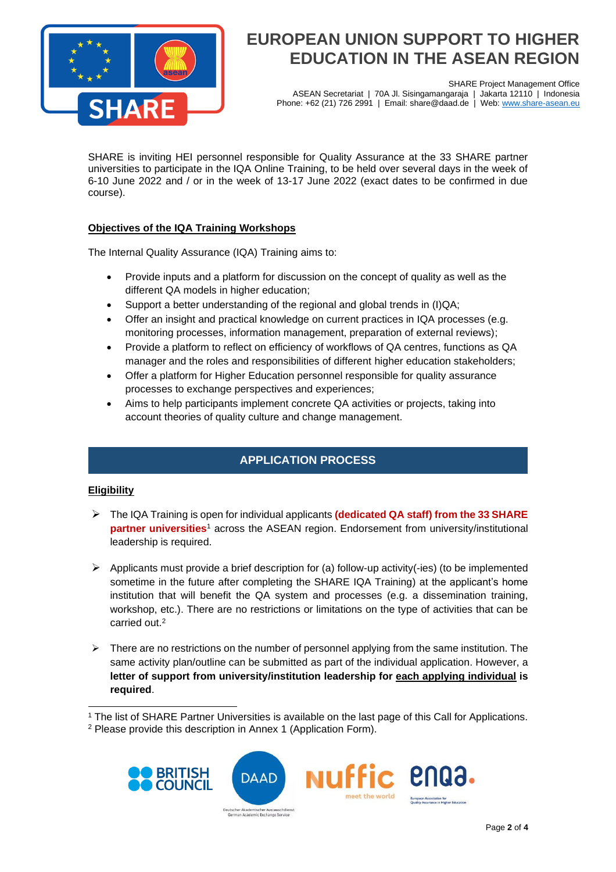

SHARE Project Management Office<br>garaja | Jakarta 12110 | Indonesia ASEAN Secretariat | 70A Jl. Sisingamangaraja | Phone: +62 (21) 726 2991 | Email: share@daad.de | Web: [www.share-asean.eu](http://www.share-asean.eu/)

SHARE is inviting HEI personnel responsible for Quality Assurance at the 33 SHARE partner universities to participate in the IQA Online Training, to be held over several days in the week of 6-10 June 2022 and / or in the week of 13-17 June 2022 (exact dates to be confirmed in due course).

## **Objectives of the IQA Training Workshops**

The Internal Quality Assurance (IQA) Training aims to:

- Provide inputs and a platform for discussion on the concept of quality as well as the different QA models in higher education;
- Support a better understanding of the regional and global trends in (I)QA;
- Offer an insight and practical knowledge on current practices in IQA processes (e.g. monitoring processes, information management, preparation of external reviews);
- Provide a platform to reflect on efficiency of workflows of QA centres, functions as QA manager and the roles and responsibilities of different higher education stakeholders;
- Offer a platform for Higher Education personnel responsible for quality assurance processes to exchange perspectives and experiences;
- Aims to help participants implement concrete QA activities or projects, taking into account theories of quality culture and change management.

## **APPLICATION PROCESS**

## **Eligibility**

- ➢ The IQA Training is open for individual applicants **(dedicated QA staff) from the 33 SHARE partner universities**<sup>1</sup> across the ASEAN region. Endorsement from university/institutional leadership is required.
- $\triangleright$  Applicants must provide a brief description for (a) follow-up activity(-ies) (to be implemented sometime in the future after completing the SHARE IQA Training) at the applicant's home institution that will benefit the QA system and processes (e.g. a dissemination training, workshop, etc.). There are no restrictions or limitations on the type of activities that can be carried out. 2
- $\triangleright$  There are no restrictions on the number of personnel applying from the same institution. The same activity plan/outline can be submitted as part of the individual application. However, a **letter of support from university/institution leadership for each applying individual is required**.

<sup>2</sup> Please provide this description in Annex 1 (Application Form).



<sup>&</sup>lt;sup>1</sup> The list of SHARE Partner Universities is available on the last page of this Call for Applications.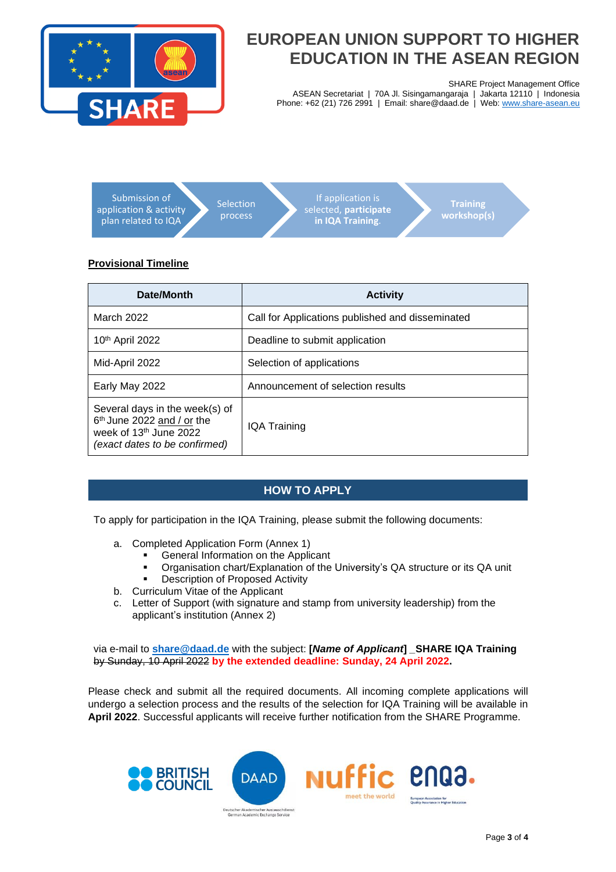

SHARE Project Management Office

ASEAN Secretariat | 70A Jl. Sisingamangaraja | Jakarta 12110 | Indonesia Phone: +62 (21) 726 2991 | Email: share@daad.de | Web: [www.share-asean.eu](http://www.share-asean.eu/)



## **Provisional Timeline**

| Date/Month                                                                                                                          | <b>Activity</b>                                  |
|-------------------------------------------------------------------------------------------------------------------------------------|--------------------------------------------------|
| March 2022                                                                                                                          | Call for Applications published and disseminated |
| 10 <sup>th</sup> April 2022                                                                                                         | Deadline to submit application                   |
| Mid-April 2022                                                                                                                      | Selection of applications                        |
| Early May 2022                                                                                                                      | Announcement of selection results                |
| Several days in the week(s) of<br>6 <sup>th</sup> June 2022 and / or the<br>week of 13th June 2022<br>(exact dates to be confirmed) | IQA Training                                     |

## **HOW TO APPLY**

To apply for participation in the IQA Training, please submit the following documents:

- a. Completed Application Form (Annex 1)
	- General Information on the Applicant
	- Organisation chart/Explanation of the University's QA structure or its QA unit
	- **Description of Proposed Activity**
- b. Curriculum Vitae of the Applicant
- c. Letter of Support (with signature and stamp from university leadership) from the applicant's institution (Annex 2)

via e-mail to **[share@daad.de](mailto:share@daad.de)** with the subject: **[***Name of Applicant***]** *\_***SHARE IQA Training**  by Sunday, 10 April 2022 **by the extended deadline: Sunday, 24 April 2022.**

Please check and submit all the required documents. All incoming complete applications will undergo a selection process and the results of the selection for IQA Training will be available in **April 2022**. Successful applicants will receive further notification from the SHARE Programme.